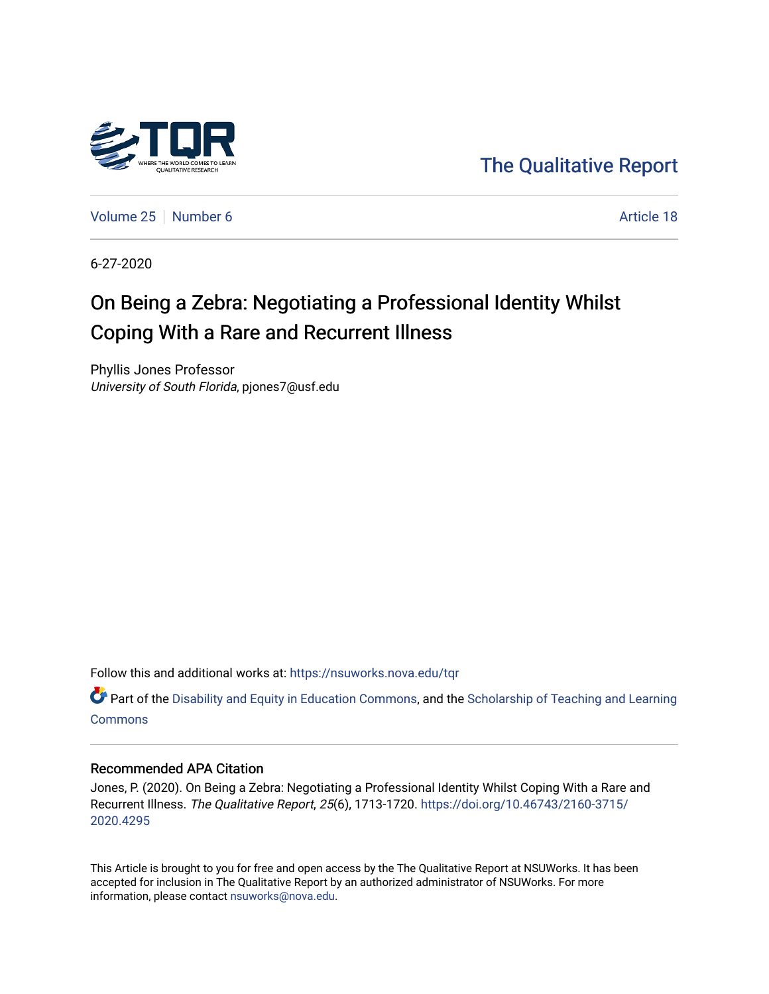

[The Qualitative Report](https://nsuworks.nova.edu/tqr) 

[Volume 25](https://nsuworks.nova.edu/tqr/vol25) [Number 6](https://nsuworks.nova.edu/tqr/vol25/iss6) Article 18

6-27-2020

# On Being a Zebra: Negotiating a Professional Identity Whilst Coping With a Rare and Recurrent Illness

Phyllis Jones Professor University of South Florida, pjones7@usf.edu

Follow this and additional works at: [https://nsuworks.nova.edu/tqr](https://nsuworks.nova.edu/tqr?utm_source=nsuworks.nova.edu%2Ftqr%2Fvol25%2Fiss6%2F18&utm_medium=PDF&utm_campaign=PDFCoverPages) 

**P** Part of the [Disability and Equity in Education Commons](http://network.bepress.com/hgg/discipline/1040?utm_source=nsuworks.nova.edu%2Ftqr%2Fvol25%2Fiss6%2F18&utm_medium=PDF&utm_campaign=PDFCoverPages), and the [Scholarship of Teaching and Learning](http://network.bepress.com/hgg/discipline/1328?utm_source=nsuworks.nova.edu%2Ftqr%2Fvol25%2Fiss6%2F18&utm_medium=PDF&utm_campaign=PDFCoverPages) **[Commons](http://network.bepress.com/hgg/discipline/1328?utm_source=nsuworks.nova.edu%2Ftqr%2Fvol25%2Fiss6%2F18&utm_medium=PDF&utm_campaign=PDFCoverPages)** 

# Recommended APA Citation

Jones, P. (2020). On Being a Zebra: Negotiating a Professional Identity Whilst Coping With a Rare and Recurrent Illness. The Qualitative Report, 25(6), 1713-1720. [https://doi.org/10.46743/2160-3715/](https://doi.org/10.46743/2160-3715/2020.4295) [2020.4295](https://doi.org/10.46743/2160-3715/2020.4295) 

This Article is brought to you for free and open access by the The Qualitative Report at NSUWorks. It has been accepted for inclusion in The Qualitative Report by an authorized administrator of NSUWorks. For more information, please contact [nsuworks@nova.edu.](mailto:nsuworks@nova.edu)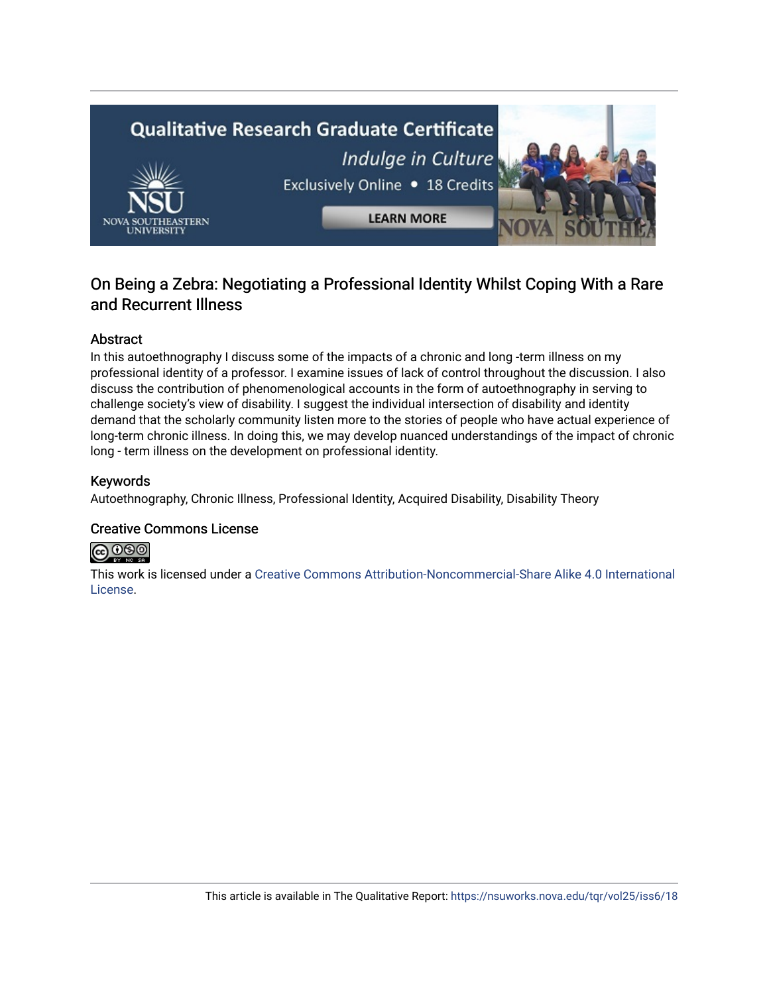

# On Being a Zebra: Negotiating a Professional Identity Whilst Coping With a Rare and Recurrent Illness

# **Abstract**

In this autoethnography I discuss some of the impacts of a chronic and long -term illness on my professional identity of a professor. I examine issues of lack of control throughout the discussion. I also discuss the contribution of phenomenological accounts in the form of autoethnography in serving to challenge society's view of disability. I suggest the individual intersection of disability and identity demand that the scholarly community listen more to the stories of people who have actual experience of long-term chronic illness. In doing this, we may develop nuanced understandings of the impact of chronic long - term illness on the development on professional identity.

# Keywords

Autoethnography, Chronic Illness, Professional Identity, Acquired Disability, Disability Theory

# Creative Commons License



This work is licensed under a [Creative Commons Attribution-Noncommercial-Share Alike 4.0 International](https://creativecommons.org/licenses/by-nc-sa/4.0/)  [License](https://creativecommons.org/licenses/by-nc-sa/4.0/).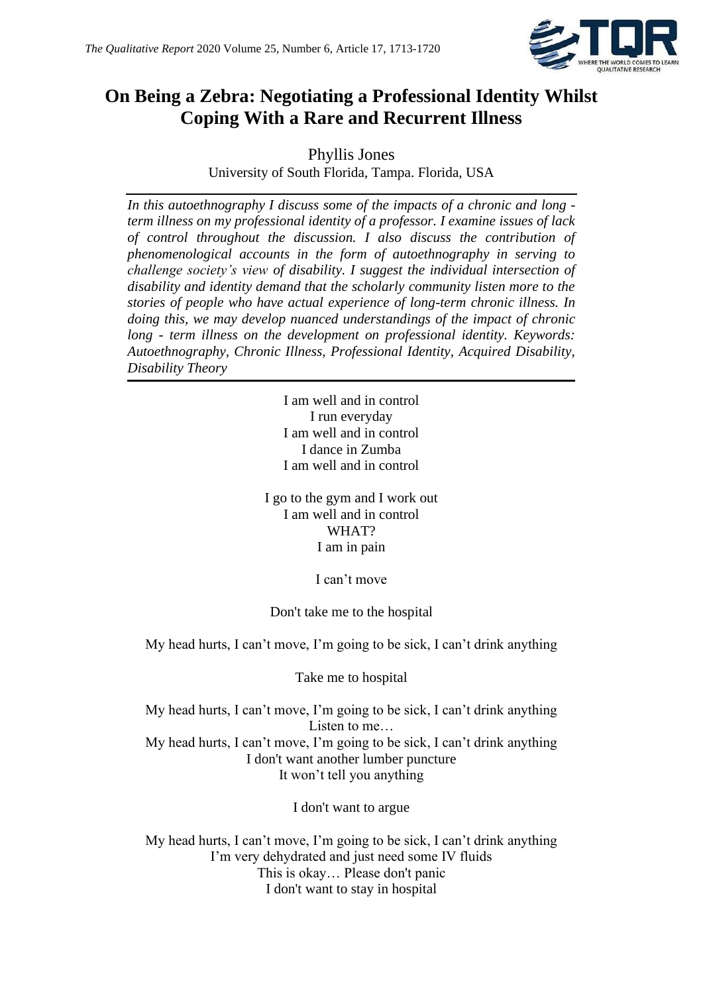

# **On Being a Zebra: Negotiating a Professional Identity Whilst Coping With a Rare and Recurrent Illness**

Phyllis Jones University of South Florida, Tampa. Florida, USA

*In this autoethnography I discuss some of the impacts of a chronic and long term illness on my professional identity of a professor. I examine issues of lack of control throughout the discussion. I also discuss the contribution of phenomenological accounts in the form of autoethnography in serving to challenge society's view of disability. I suggest the individual intersection of disability and identity demand that the scholarly community listen more to the stories of people who have actual experience of long-term chronic illness. In doing this, we may develop nuanced understandings of the impact of chronic long - term illness on the development on professional identity. Keywords: Autoethnography, Chronic Illness, Professional Identity, Acquired Disability, Disability Theory*

> I am well and in control I run everyday I am well and in control I dance in Zumba I am well and in control

I go to the gym and I work out I am well and in control WHAT? I am in pain

I can't move

Don't take me to the hospital

My head hurts, I can't move, I'm going to be sick, I can't drink anything

Take me to hospital

My head hurts, I can't move, I'm going to be sick, I can't drink anything Listen to me… My head hurts, I can't move, I'm going to be sick, I can't drink anything I don't want another lumber puncture It won't tell you anything

I don't want to argue

My head hurts, I can't move, I'm going to be sick, I can't drink anything I'm very dehydrated and just need some IV fluids This is okay… Please don't panic I don't want to stay in hospital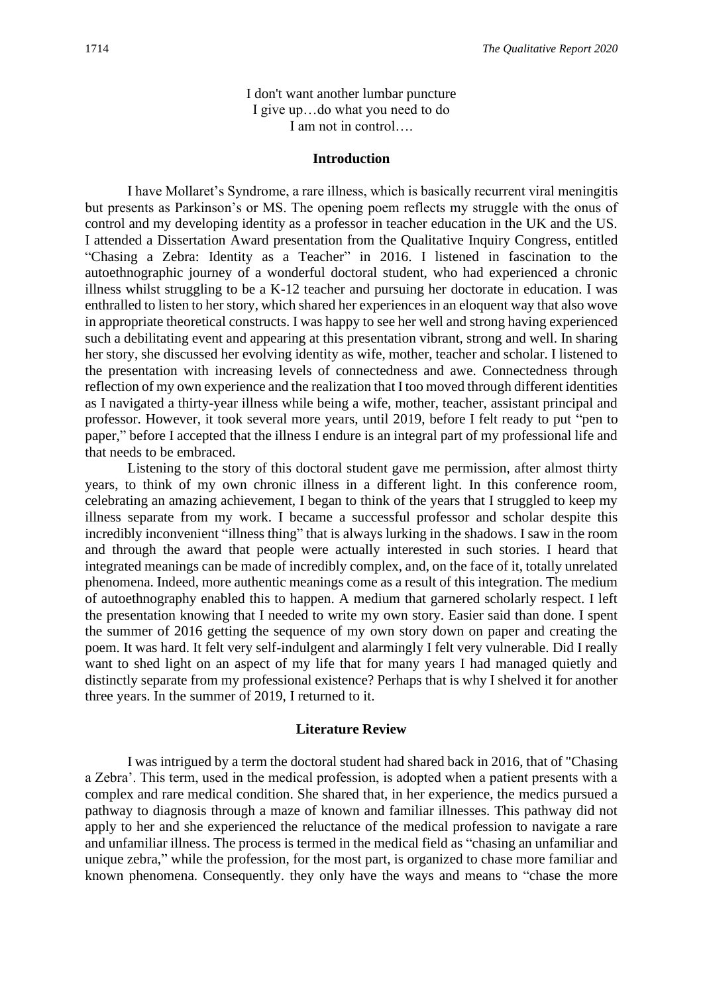I don't want another lumbar puncture I give up…do what you need to do I am not in control….

#### **Introduction**

I have Mollaret's Syndrome, a rare illness, which is basically recurrent viral meningitis but presents as Parkinson's or MS. The opening poem reflects my struggle with the onus of control and my developing identity as a professor in teacher education in the UK and the US. I attended a Dissertation Award presentation from the Qualitative Inquiry Congress, entitled "Chasing a Zebra: Identity as a Teacher" in 2016. I listened in fascination to the autoethnographic journey of a wonderful doctoral student, who had experienced a chronic illness whilst struggling to be a K-12 teacher and pursuing her doctorate in education. I was enthralled to listen to her story, which shared her experiences in an eloquent way that also wove in appropriate theoretical constructs. I was happy to see her well and strong having experienced such a debilitating event and appearing at this presentation vibrant, strong and well. In sharing her story, she discussed her evolving identity as wife, mother, teacher and scholar. I listened to the presentation with increasing levels of connectedness and awe. Connectedness through reflection of my own experience and the realization that I too moved through different identities as I navigated a thirty-year illness while being a wife, mother, teacher, assistant principal and professor. However, it took several more years, until 2019, before I felt ready to put "pen to paper," before I accepted that the illness I endure is an integral part of my professional life and that needs to be embraced.

Listening to the story of this doctoral student gave me permission, after almost thirty years, to think of my own chronic illness in a different light. In this conference room, celebrating an amazing achievement, I began to think of the years that I struggled to keep my illness separate from my work. I became a successful professor and scholar despite this incredibly inconvenient "illness thing" that is always lurking in the shadows. I saw in the room and through the award that people were actually interested in such stories. I heard that integrated meanings can be made of incredibly complex, and, on the face of it, totally unrelated phenomena. Indeed, more authentic meanings come as a result of this integration. The medium of autoethnography enabled this to happen. A medium that garnered scholarly respect. I left the presentation knowing that I needed to write my own story. Easier said than done. I spent the summer of 2016 getting the sequence of my own story down on paper and creating the poem. It was hard. It felt very self-indulgent and alarmingly I felt very vulnerable. Did I really want to shed light on an aspect of my life that for many years I had managed quietly and distinctly separate from my professional existence? Perhaps that is why I shelved it for another three years. In the summer of 2019, I returned to it.

#### **Literature Review**

I was intrigued by a term the doctoral student had shared back in 2016, that of "Chasing a Zebra'. This term, used in the medical profession, is adopted when a patient presents with a complex and rare medical condition. She shared that, in her experience, the medics pursued a pathway to diagnosis through a maze of known and familiar illnesses. This pathway did not apply to her and she experienced the reluctance of the medical profession to navigate a rare and unfamiliar illness. The process is termed in the medical field as "chasing an unfamiliar and unique zebra," while the profession, for the most part, is organized to chase more familiar and known phenomena. Consequently. they only have the ways and means to "chase the more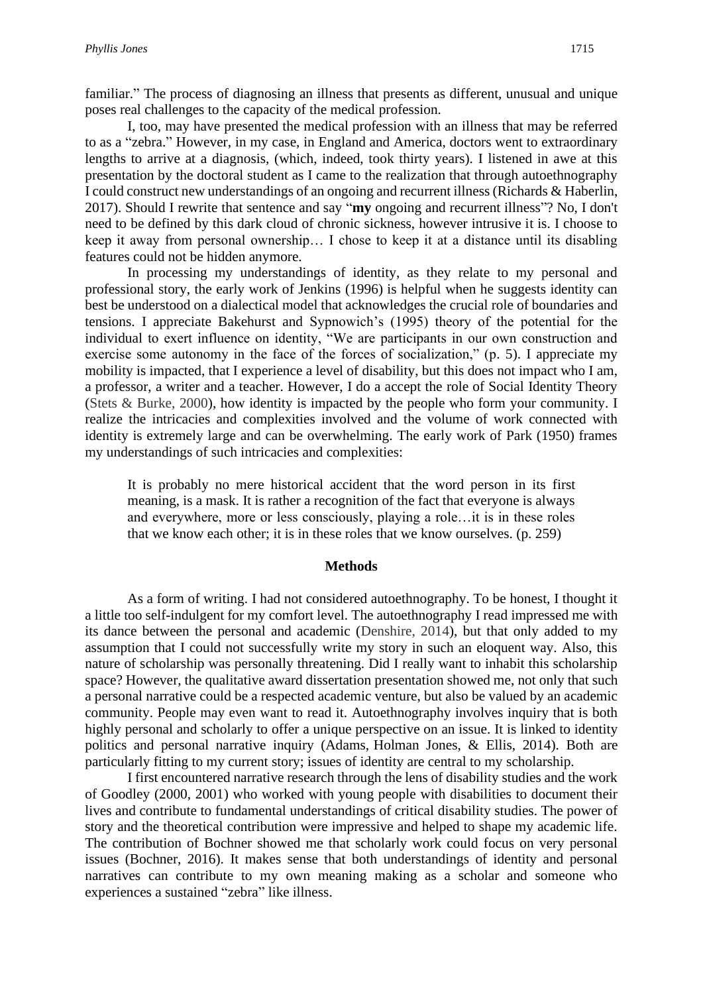familiar." The process of diagnosing an illness that presents as different, unusual and unique poses real challenges to the capacity of the medical profession.

I, too, may have presented the medical profession with an illness that may be referred to as a "zebra." However, in my case, in England and America, doctors went to extraordinary lengths to arrive at a diagnosis, (which, indeed, took thirty years). I listened in awe at this presentation by the doctoral student as I came to the realization that through autoethnography I could construct new understandings of an ongoing and recurrent illness (Richards & Haberlin, 2017). Should I rewrite that sentence and say "**my** ongoing and recurrent illness"? No, I don't need to be defined by this dark cloud of chronic sickness, however intrusive it is. I choose to keep it away from personal ownership… I chose to keep it at a distance until its disabling features could not be hidden anymore.

In processing my understandings of identity, as they relate to my personal and professional story, the early work of Jenkins (1996) is helpful when he suggests identity can best be understood on a dialectical model that acknowledges the crucial role of boundaries and tensions. I appreciate Bakehurst and Sypnowich's (1995) theory of the potential for the individual to exert influence on identity, "We are participants in our own construction and exercise some autonomy in the face of the forces of socialization," (p. 5). I appreciate my mobility is impacted, that I experience a level of disability, but this does not impact who I am, a professor, a writer and a teacher. However, I do a accept the role of Social Identity Theory (Stets & Burke, 2000), how identity is impacted by the people who form your community. I realize the intricacies and complexities involved and the volume of work connected with identity is extremely large and can be overwhelming. The early work of Park (1950) frames my understandings of such intricacies and complexities:

It is probably no mere historical accident that the word person in its first meaning, is a mask. It is rather a recognition of the fact that everyone is always and everywhere, more or less consciously, playing a role…it is in these roles that we know each other; it is in these roles that we know ourselves. (p. 259)

#### **Methods**

As a form of writing. I had not considered autoethnography. To be honest, I thought it a little too self-indulgent for my comfort level. The autoethnography I read impressed me with its dance between the personal and academic (Denshire, 2014), but that only added to my assumption that I could not successfully write my story in such an eloquent way. Also, this nature of scholarship was personally threatening. Did I really want to inhabit this scholarship space? However, the qualitative award dissertation presentation showed me, not only that such a personal narrative could be a respected academic venture, but also be valued by an academic community. People may even want to read it. Autoethnography involves inquiry that is both highly personal and scholarly to offer a unique perspective on an issue. It is linked to identity politics and personal narrative inquiry (Adams, Holman Jones, & Ellis, 2014). Both are particularly fitting to my current story; issues of identity are central to my scholarship.

I first encountered narrative research through the lens of disability studies and the work of Goodley (2000, 2001) who worked with young people with disabilities to document their lives and contribute to fundamental understandings of critical disability studies. The power of story and the theoretical contribution were impressive and helped to shape my academic life. The contribution of Bochner showed me that scholarly work could focus on very personal issues (Bochner, 2016). It makes sense that both understandings of identity and personal narratives can contribute to my own meaning making as a scholar and someone who experiences a sustained "zebra" like illness.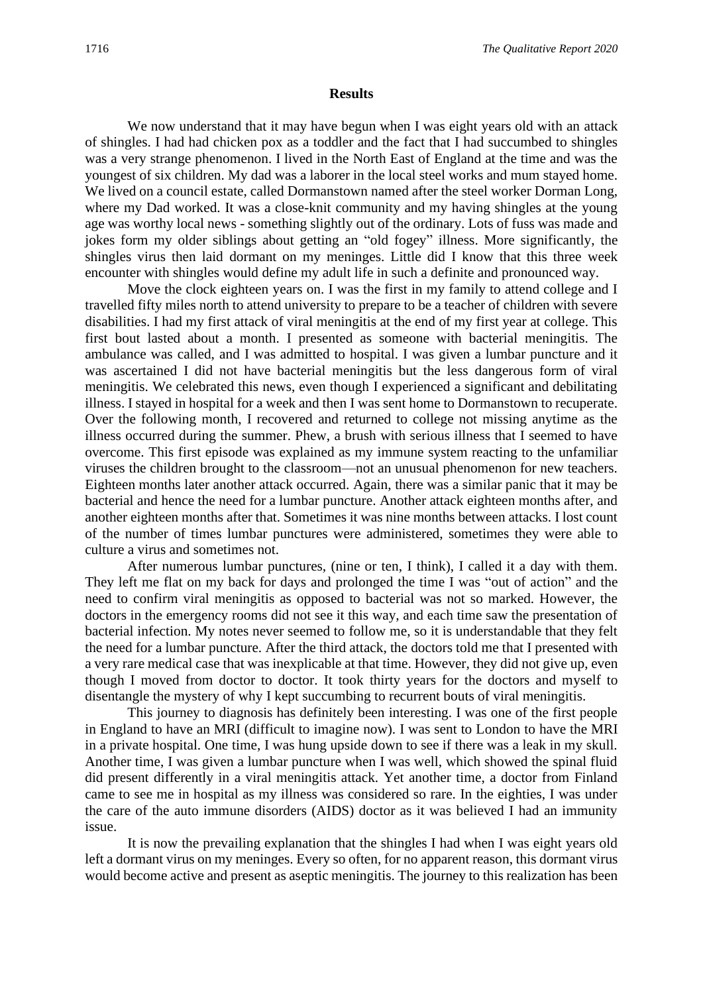#### **Results**

We now understand that it may have begun when I was eight years old with an attack of shingles. I had had chicken pox as a toddler and the fact that I had succumbed to shingles was a very strange phenomenon. I lived in the North East of England at the time and was the youngest of six children. My dad was a laborer in the local steel works and mum stayed home. We lived on a council estate, called Dormanstown named after the steel worker Dorman Long, where my Dad worked. It was a close-knit community and my having shingles at the young age was worthy local news - something slightly out of the ordinary. Lots of fuss was made and jokes form my older siblings about getting an "old fogey" illness. More significantly, the shingles virus then laid dormant on my meninges. Little did I know that this three week encounter with shingles would define my adult life in such a definite and pronounced way.

Move the clock eighteen years on. I was the first in my family to attend college and I travelled fifty miles north to attend university to prepare to be a teacher of children with severe disabilities. I had my first attack of viral meningitis at the end of my first year at college. This first bout lasted about a month. I presented as someone with bacterial meningitis. The ambulance was called, and I was admitted to hospital. I was given a lumbar puncture and it was ascertained I did not have bacterial meningitis but the less dangerous form of viral meningitis. We celebrated this news, even though I experienced a significant and debilitating illness. I stayed in hospital for a week and then I was sent home to Dormanstown to recuperate. Over the following month, I recovered and returned to college not missing anytime as the illness occurred during the summer. Phew, a brush with serious illness that I seemed to have overcome. This first episode was explained as my immune system reacting to the unfamiliar viruses the children brought to the classroom—not an unusual phenomenon for new teachers. Eighteen months later another attack occurred. Again, there was a similar panic that it may be bacterial and hence the need for a lumbar puncture. Another attack eighteen months after, and another eighteen months after that. Sometimes it was nine months between attacks. I lost count of the number of times lumbar punctures were administered, sometimes they were able to culture a virus and sometimes not.

After numerous lumbar punctures, (nine or ten, I think), I called it a day with them. They left me flat on my back for days and prolonged the time I was "out of action" and the need to confirm viral meningitis as opposed to bacterial was not so marked. However, the doctors in the emergency rooms did not see it this way, and each time saw the presentation of bacterial infection. My notes never seemed to follow me, so it is understandable that they felt the need for a lumbar puncture. After the third attack, the doctors told me that I presented with a very rare medical case that was inexplicable at that time. However, they did not give up, even though I moved from doctor to doctor. It took thirty years for the doctors and myself to disentangle the mystery of why I kept succumbing to recurrent bouts of viral meningitis.

This journey to diagnosis has definitely been interesting. I was one of the first people in England to have an MRI (difficult to imagine now). I was sent to London to have the MRI in a private hospital. One time, I was hung upside down to see if there was a leak in my skull. Another time, I was given a lumbar puncture when I was well, which showed the spinal fluid did present differently in a viral meningitis attack. Yet another time, a doctor from Finland came to see me in hospital as my illness was considered so rare. In the eighties, I was under the care of the auto immune disorders (AIDS) doctor as it was believed I had an immunity issue.

It is now the prevailing explanation that the shingles I had when I was eight years old left a dormant virus on my meninges. Every so often, for no apparent reason, this dormant virus would become active and present as aseptic meningitis. The journey to this realization has been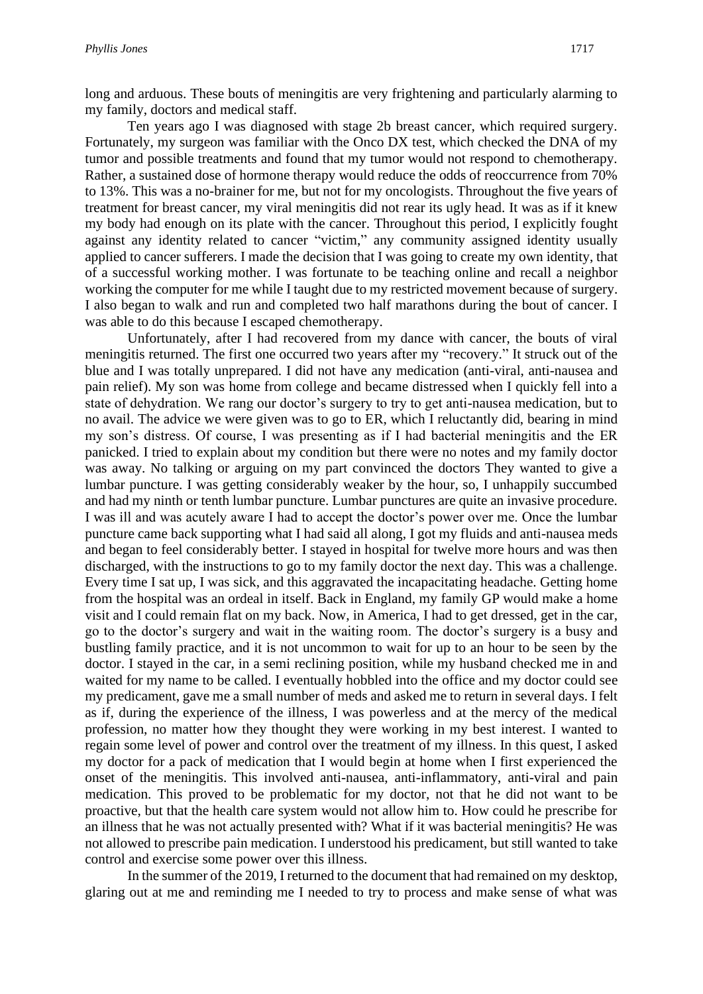long and arduous. These bouts of meningitis are very frightening and particularly alarming to my family, doctors and medical staff.

Ten years ago I was diagnosed with stage 2b breast cancer, which required surgery. Fortunately, my surgeon was familiar with the Onco DX test, which checked the DNA of my tumor and possible treatments and found that my tumor would not respond to chemotherapy. Rather, a sustained dose of hormone therapy would reduce the odds of reoccurrence from 70% to 13%. This was a no-brainer for me, but not for my oncologists. Throughout the five years of treatment for breast cancer, my viral meningitis did not rear its ugly head. It was as if it knew my body had enough on its plate with the cancer. Throughout this period, I explicitly fought against any identity related to cancer "victim," any community assigned identity usually applied to cancer sufferers. I made the decision that I was going to create my own identity, that of a successful working mother. I was fortunate to be teaching online and recall a neighbor working the computer for me while I taught due to my restricted movement because of surgery. I also began to walk and run and completed two half marathons during the bout of cancer. I was able to do this because I escaped chemotherapy.

Unfortunately, after I had recovered from my dance with cancer, the bouts of viral meningitis returned. The first one occurred two years after my "recovery." It struck out of the blue and I was totally unprepared. I did not have any medication (anti-viral, anti-nausea and pain relief). My son was home from college and became distressed when I quickly fell into a state of dehydration. We rang our doctor's surgery to try to get anti-nausea medication, but to no avail. The advice we were given was to go to ER, which I reluctantly did, bearing in mind my son's distress. Of course, I was presenting as if I had bacterial meningitis and the ER panicked. I tried to explain about my condition but there were no notes and my family doctor was away. No talking or arguing on my part convinced the doctors They wanted to give a lumbar puncture. I was getting considerably weaker by the hour, so, I unhappily succumbed and had my ninth or tenth lumbar puncture. Lumbar punctures are quite an invasive procedure. I was ill and was acutely aware I had to accept the doctor's power over me. Once the lumbar puncture came back supporting what I had said all along, I got my fluids and anti-nausea meds and began to feel considerably better. I stayed in hospital for twelve more hours and was then discharged, with the instructions to go to my family doctor the next day. This was a challenge. Every time I sat up, I was sick, and this aggravated the incapacitating headache. Getting home from the hospital was an ordeal in itself. Back in England, my family GP would make a home visit and I could remain flat on my back. Now, in America, I had to get dressed, get in the car, go to the doctor's surgery and wait in the waiting room. The doctor's surgery is a busy and bustling family practice, and it is not uncommon to wait for up to an hour to be seen by the doctor. I stayed in the car, in a semi reclining position, while my husband checked me in and waited for my name to be called. I eventually hobbled into the office and my doctor could see my predicament, gave me a small number of meds and asked me to return in several days. I felt as if, during the experience of the illness, I was powerless and at the mercy of the medical profession, no matter how they thought they were working in my best interest. I wanted to regain some level of power and control over the treatment of my illness. In this quest, I asked my doctor for a pack of medication that I would begin at home when I first experienced the onset of the meningitis. This involved anti-nausea, anti-inflammatory, anti-viral and pain medication. This proved to be problematic for my doctor, not that he did not want to be proactive, but that the health care system would not allow him to. How could he prescribe for an illness that he was not actually presented with? What if it was bacterial meningitis? He was not allowed to prescribe pain medication. I understood his predicament, but still wanted to take control and exercise some power over this illness.

In the summer of the 2019, I returned to the document that had remained on my desktop, glaring out at me and reminding me I needed to try to process and make sense of what was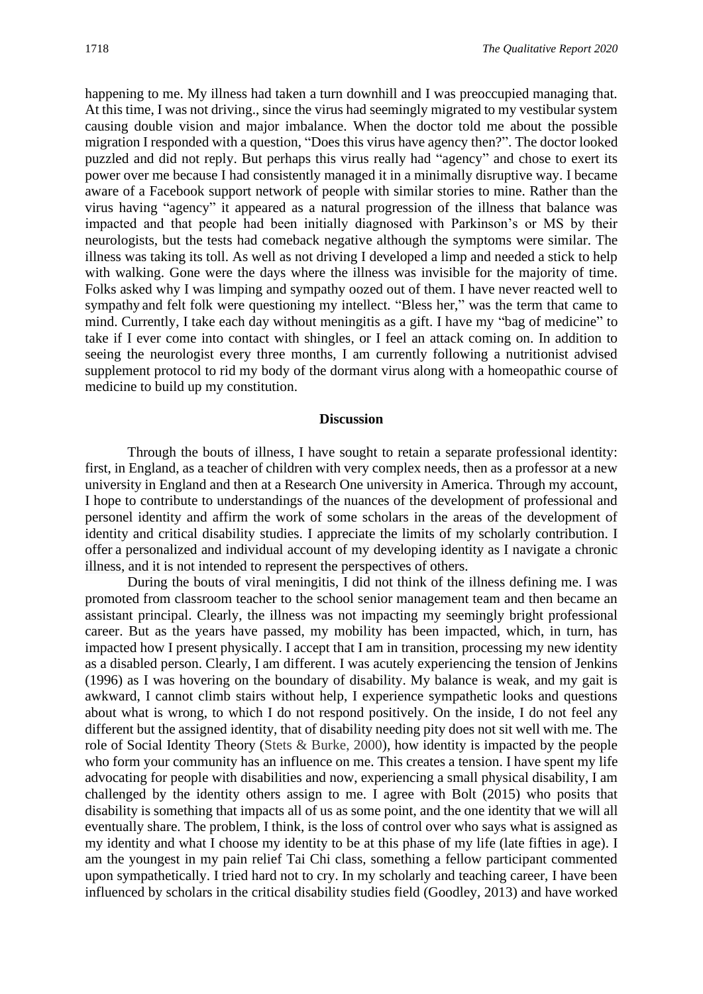happening to me. My illness had taken a turn downhill and I was preoccupied managing that. At this time, I was not driving., since the virus had seemingly migrated to my vestibular system causing double vision and major imbalance. When the doctor told me about the possible migration I responded with a question, "Does this virus have agency then?". The doctor looked puzzled and did not reply. But perhaps this virus really had "agency" and chose to exert its power over me because I had consistently managed it in a minimally disruptive way. I became aware of a Facebook support network of people with similar stories to mine. Rather than the virus having "agency" it appeared as a natural progression of the illness that balance was impacted and that people had been initially diagnosed with Parkinson's or MS by their neurologists, but the tests had comeback negative although the symptoms were similar. The illness was taking its toll. As well as not driving I developed a limp and needed a stick to help with walking. Gone were the days where the illness was invisible for the majority of time. Folks asked why I was limping and sympathy oozed out of them. I have never reacted well to sympathy and felt folk were questioning my intellect. "Bless her," was the term that came to mind. Currently, I take each day without meningitis as a gift. I have my "bag of medicine" to take if I ever come into contact with shingles, or I feel an attack coming on. In addition to seeing the neurologist every three months, I am currently following a nutritionist advised supplement protocol to rid my body of the dormant virus along with a homeopathic course of medicine to build up my constitution.

### **Discussion**

Through the bouts of illness, I have sought to retain a separate professional identity: first, in England, as a teacher of children with very complex needs, then as a professor at a new university in England and then at a Research One university in America. Through my account, I hope to contribute to understandings of the nuances of the development of professional and personel identity and affirm the work of some scholars in the areas of the development of identity and critical disability studies. I appreciate the limits of my scholarly contribution. I offer a personalized and individual account of my developing identity as I navigate a chronic illness, and it is not intended to represent the perspectives of others.

During the bouts of viral meningitis, I did not think of the illness defining me. I was promoted from classroom teacher to the school senior management team and then became an assistant principal. Clearly, the illness was not impacting my seemingly bright professional career. But as the years have passed, my mobility has been impacted, which, in turn, has impacted how I present physically. I accept that I am in transition, processing my new identity as a disabled person. Clearly, I am different. I was acutely experiencing the tension of Jenkins (1996) as I was hovering on the boundary of disability. My balance is weak, and my gait is awkward, I cannot climb stairs without help, I experience sympathetic looks and questions about what is wrong, to which I do not respond positively. On the inside, I do not feel any different but the assigned identity, that of disability needing pity does not sit well with me. The role of Social Identity Theory (Stets & Burke, 2000), how identity is impacted by the people who form your community has an influence on me. This creates a tension. I have spent my life advocating for people with disabilities and now, experiencing a small physical disability, I am challenged by the identity others assign to me. I agree with Bolt (2015) who posits that disability is something that impacts all of us as some point, and the one identity that we will all eventually share. The problem, I think, is the loss of control over who says what is assigned as my identity and what I choose my identity to be at this phase of my life (late fifties in age). I am the youngest in my pain relief Tai Chi class, something a fellow participant commented upon sympathetically. I tried hard not to cry. In my scholarly and teaching career, I have been influenced by scholars in the critical disability studies field (Goodley, 2013) and have worked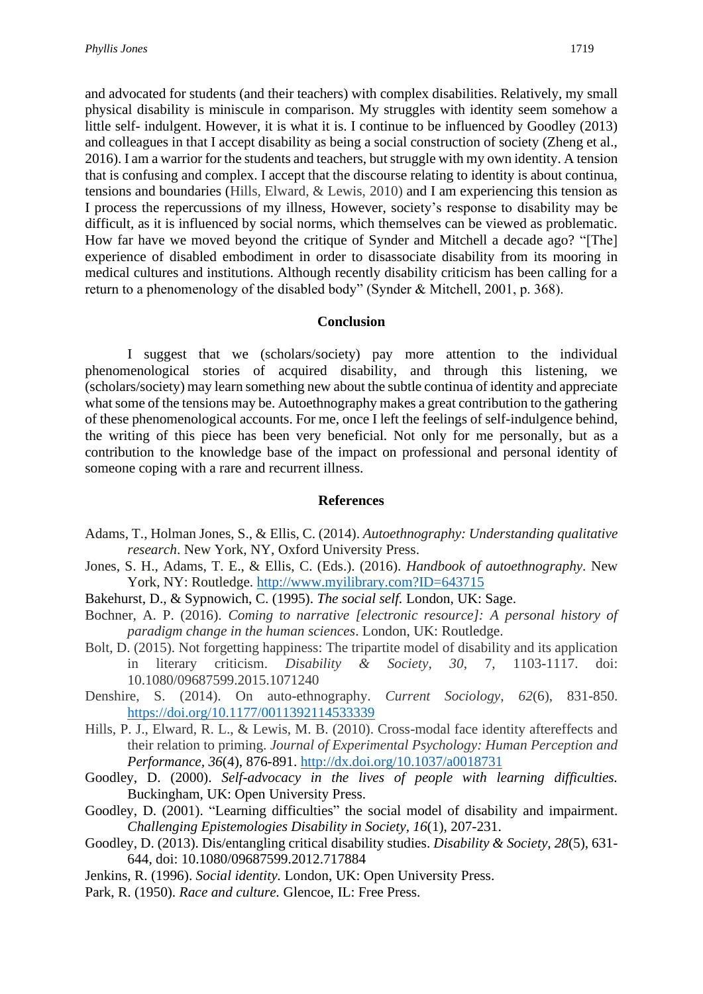and advocated for students (and their teachers) with complex disabilities. Relatively, my small physical disability is miniscule in comparison. My struggles with identity seem somehow a little self- indulgent. However, it is what it is. I continue to be influenced by Goodley (2013) and colleagues in that I accept disability as being a social construction of society (Zheng et al., 2016). I am a warrior for the students and teachers, but struggle with my own identity. A tension that is confusing and complex. I accept that the discourse relating to identity is about continua, tensions and boundaries (Hills, Elward, & Lewis, 2010) and I am experiencing this tension as I process the repercussions of my illness, However, society's response to disability may be difficult, as it is influenced by social norms, which themselves can be viewed as problematic. How far have we moved beyond the critique of Synder and Mitchell a decade ago? "[The] experience of disabled embodiment in order to disassociate disability from its mooring in medical cultures and institutions. Although recently disability criticism has been calling for a return to a phenomenology of the disabled body" (Synder & Mitchell, 2001, p. 368).

## **Conclusion**

I suggest that we (scholars/society) pay more attention to the individual phenomenological stories of acquired disability, and through this listening, we (scholars/society) may learn something new about the subtle continua of identity and appreciate what some of the tensions may be. Autoethnography makes a great contribution to the gathering of these phenomenological accounts. For me, once I left the feelings of self-indulgence behind, the writing of this piece has been very beneficial. Not only for me personally, but as a contribution to the knowledge base of the impact on professional and personal identity of someone coping with a rare and recurrent illness.

# **References**

- Adams, T., Holman Jones, S., & Ellis, C. (2014). *Autoethnography: Understanding qualitative research*. New York, NY, Oxford University Press.
- Jones, S. H., Adams, T. E., & Ellis, C. (Eds.). (2016). *Handbook of autoethnography.* New York, NY: Routledge. [http://www.myilibrary.com?ID=643715](http://www.myilibrary.com/?ID=643715)
- Bakehurst, D., & Sypnowich, C. (1995). *The social self.* London, UK: Sage.
- Bochner, A. P. (2016). *Coming to narrative [electronic resource]: A personal history of paradigm change in the human sciences*. London, UK: Routledge.
- Bolt, D. (2015). Not forgetting happiness: The tripartite model of disability and its application<br>in literary criticism. Disability & Society, 30, 7, 1103-1117. doi: in literary criticism. *Disability & Society, 30*, 7, 1103-1117. doi: 10.1080/09687599.2015.1071240
- Denshire, S. (2014). On auto-ethnography. *Current Sociology*, *62*(6), 831-850. <https://doi.org/10.1177/0011392114533339>
- Hills, P. J., Elward, R. L., & Lewis, M. B. (2010). Cross-modal face identity aftereffects and their relation to priming. *Journal of Experimental Psychology: Human Perception and Performance, 36*(4), 876-891.<http://dx.doi.org/10.1037/a0018731>
- Goodley, D. (2000). *Self-advocacy in the lives of people with learning difficulties.* Buckingham, UK: Open University Press.
- Goodley, D. (2001). "Learning difficulties" the social model of disability and impairment. *Challenging Epistemologies Disability in Society, 16*(1), 207-231.
- Goodley, D. (2013). Dis/entangling critical disability studies. *Disability & Society, 28*(5), 631- 644, doi: [10.1080/09687599.2012.717884](https://doi.org/10.1080/09687599.2012.717884)
- Jenkins, R. (1996). *Social identity.* London, UK: Open University Press.
- Park, R. (1950). *Race and culture.* Glencoe, IL: Free Press.